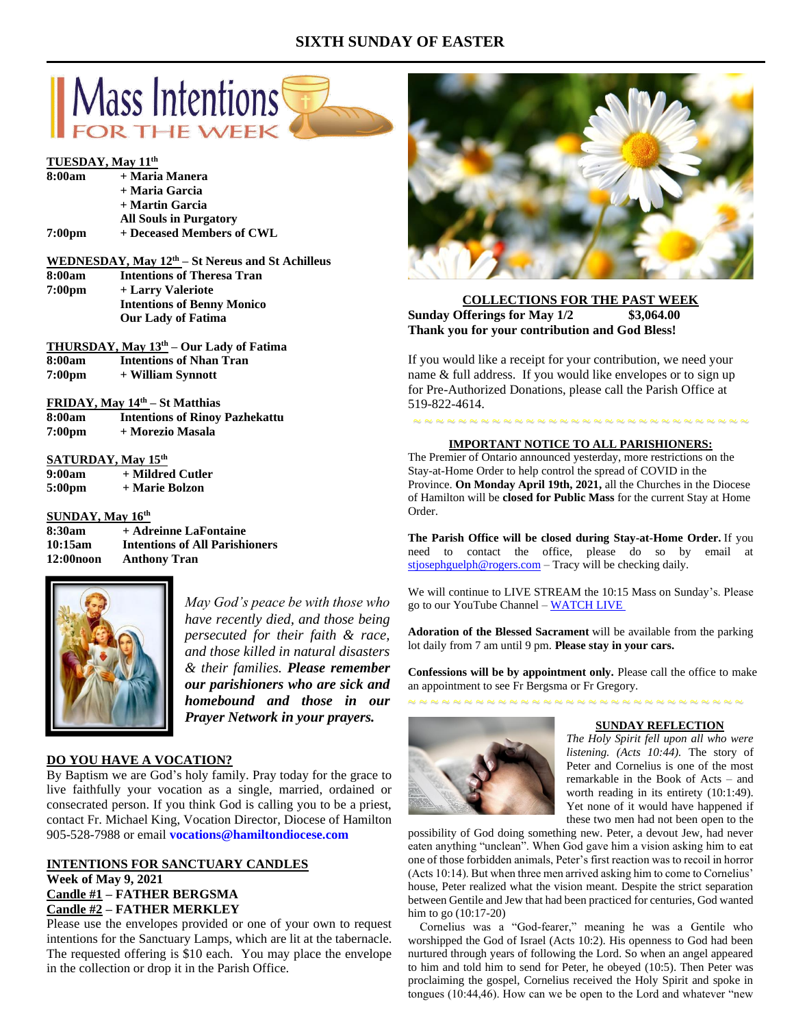# **SIXTH SUNDAY OF EASTER**





*May God's peace be with those who have recently died, and those being persecuted for their faith & race, and those killed in natural disasters & their families. Please remember our parishioners who are sick and homebound and those in our Prayer Network in your prayers.*

## **DO YOU HAVE A VOCATION?**

By Baptism we are God's holy family. Pray today for the grace to live faithfully your vocation as a single, married, ordained or consecrated person. If you think God is calling you to be a priest, contact Fr. Michael King, Vocation Director, Diocese of Hamilton 905-528-7988 or email **vocations@hamiltondiocese.com** 

## **INTENTIONS FOR SANCTUARY CANDLES Week of May 9, 2021 Candle #1 – FATHER BERGSMA Candle #2 – FATHER MERKLEY**

Please use the envelopes provided or one of your own to request intentions for the Sanctuary Lamps, which are lit at the tabernacle. The requested offering is \$10 each. You may place the envelope in the collection or drop it in the Parish Office.



**COLLECTIONS FOR THE PAST WEEK Sunday Offerings for May 1/2 \$3,064.00 Thank you for your contribution and God Bless!**

If you would like a receipt for your contribution, we need your name & full address. If you would like envelopes or to sign up for Pre-Authorized Donations, please call the Parish Office at 519-822-4614.

#### **IMPORTANT NOTICE TO ALL PARISHIONERS:**

The Premier of Ontario announced yesterday, more restrictions on the Stay-at-Home Order to help control the spread of COVID in the Province. **On Monday April 19th, 2021,** all the Churches in the Diocese of Hamilton will be **closed for Public Mass** for the current Stay at Home Order.

**The Parish Office will be closed during Stay-at-Home Order.** If you need to contact the office, please do so by email at [stjosephguelph@rogers.com](mailto:stjosephguelph@rogers.com) – Tracy will be checking daily.

We will continue to LIVE STREAM the 10:15 Mass on Sunday's. Please go to our YouTube Channel – [WATCH LIVE](https://www.youtube.com/channel/UCL59hxegD__FDJSdMDrt31w)

**Adoration of the Blessed Sacrament** will be available from the parking lot daily from 7 am until 9 pm. **Please stay in your cars.**

**Confessions will be by appointment only.** Please call the office to make an appointment to see Fr Bergsma or Fr Gregory.



~ ~ ~ ~ ~ ~ ~ ~ ~ ~ ~ ~ ~ ~ ~ ~ ~ ~ ~ ~ ~ ~ ~ ~ ~ ~ ~ ~ ~ ~

#### **SUNDAY REFLECTION**

*The Holy Spirit fell upon all who were listening. (Acts 10:44).* The story of Peter and Cornelius is one of the most remarkable in the Book of Acts – and worth reading in its entirety (10:1:49). Yet none of it would have happened if these two men had not been open to the

possibility of God doing something new. Peter, a devout Jew, had never eaten anything "unclean". When God gave him a vision asking him to eat one of those forbidden animals, Peter's first reaction was to recoil in horror (Acts 10:14). But when three men arrived asking him to come to Cornelius' house, Peter realized what the vision meant. Despite the strict separation between Gentile and Jew that had been practiced for centuries, God wanted him to go (10:17-20)

 Cornelius was a "God-fearer," meaning he was a Gentile who worshipped the God of Israel (Acts 10:2). His openness to God had been nurtured through years of following the Lord. So when an angel appeared to him and told him to send for Peter, he obeyed (10:5). Then Peter was proclaiming the gospel, Cornelius received the Holy Spirit and spoke in tongues (10:44,46). How can we be open to the Lord and whatever "new